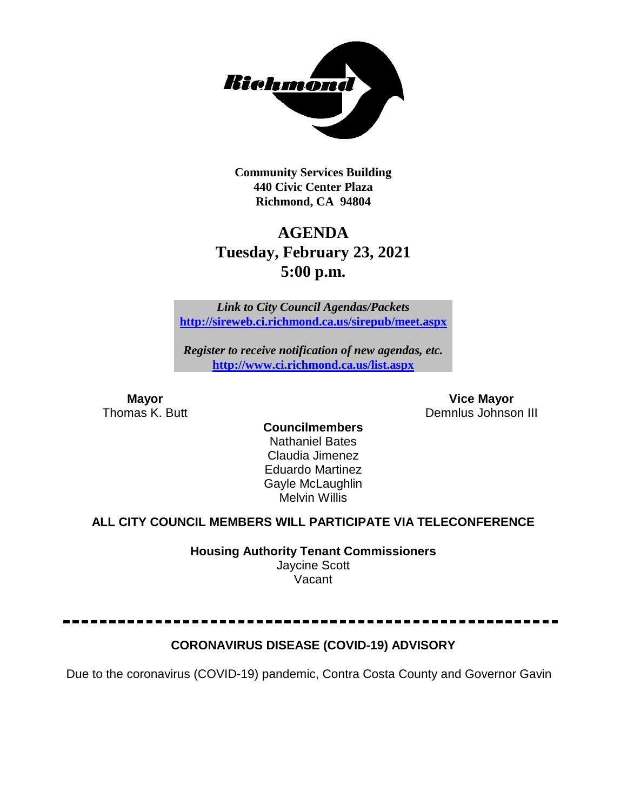

**Community Services Building 440 Civic Center Plaza Richmond, CA 94804**

# **AGENDA Tuesday, February 23, 2021 5:00 p.m.**

*Link to City Council Agendas/Packets* **<http://sireweb.ci.richmond.ca.us/sirepub/meet.aspx>**

*Register to receive notification of new agendas, etc.* **<http://www.ci.richmond.ca.us/list.aspx>**

**Mayor Vice Mayor** Demnlus Johnson III

**Councilmembers** Nathaniel Bates Claudia Jimenez Eduardo Martinez Gayle McLaughlin Melvin Willis

# **ALL CITY COUNCIL MEMBERS WILL PARTICIPATE VIA TELECONFERENCE**

**Housing Authority Tenant Commissioners** Jaycine Scott Vacant

# **CORONAVIRUS DISEASE (COVID-19) ADVISORY**

Due to the coronavirus (COVID-19) pandemic, Contra Costa County and Governor Gavin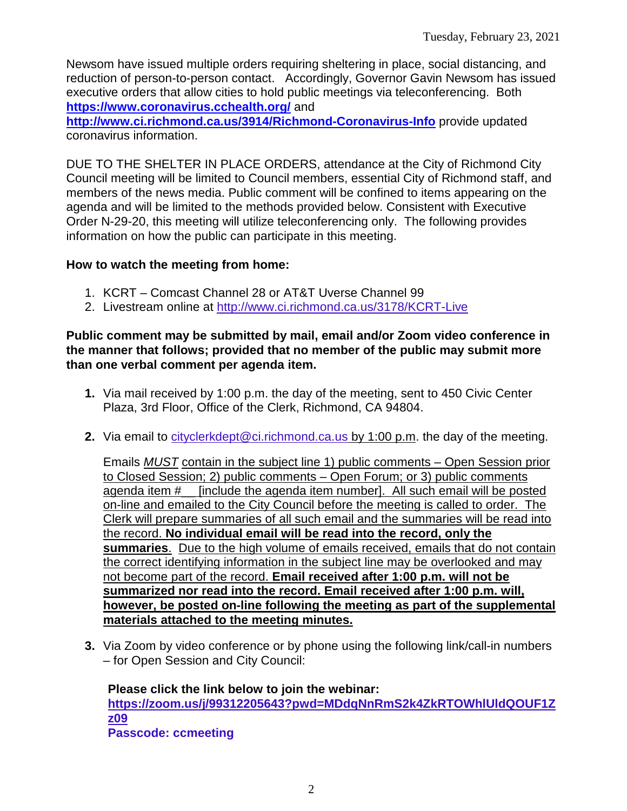Newsom have issued multiple orders requiring sheltering in place, social distancing, and reduction of person-to-person contact. Accordingly, Governor Gavin Newsom has issued executive orders that allow cities to hold public meetings via teleconferencing. Both **<https://www.coronavirus.cchealth.org/>** and

**<http://www.ci.richmond.ca.us/3914/Richmond-Coronavirus-Info>** provide updated coronavirus information.

DUE TO THE SHELTER IN PLACE ORDERS, attendance at the City of Richmond City Council meeting will be limited to Council members, essential City of Richmond staff, and members of the news media. Public comment will be confined to items appearing on the agenda and will be limited to the methods provided below. Consistent with Executive Order N-29-20, this meeting will utilize teleconferencing only. The following provides information on how the public can participate in this meeting.

### **How to watch the meeting from home:**

- 1. KCRT Comcast Channel 28 or AT&T Uverse Channel 99
- 2. Livestream online at<http://www.ci.richmond.ca.us/3178/KCRT-Live>

#### **Public comment may be submitted by mail, email and/or Zoom video conference in the manner that follows; provided that no member of the public may submit more than one verbal comment per agenda item.**

- **1.** Via mail received by 1:00 p.m. the day of the meeting, sent to 450 Civic Center Plaza, 3rd Floor, Office of the Clerk, Richmond, CA 94804.
- **2.** Via email to [cityclerkdept@ci.richmond.ca.us](mailto:cityclerkdept@ci.richmond.ca.us) by 1:00 p.m. the day of the meeting.

Emails *MUST* contain in the subject line 1) public comments – Open Session prior to Closed Session; 2) public comments – Open Forum; or 3) public comments agenda item #\_\_ [include the agenda item number]. All such email will be posted on-line and emailed to the City Council before the meeting is called to order. The Clerk will prepare summaries of all such email and the summaries will be read into the record. **No individual email will be read into the record, only the summaries**. Due to the high volume of emails received, emails that do not contain the correct identifying information in the subject line may be overlooked and may not become part of the record. **Email received after 1:00 p.m. will not be summarized nor read into the record. Email received after 1:00 p.m. will, however, be posted on-line following the meeting as part of the supplemental materials attached to the meeting minutes.**

**3.** Via Zoom by video conference or by phone using the following link/call-in numbers – for Open Session and City Council:

**Please click the link below to join the webinar: [https://zoom.us/j/99312205643?pwd=MDdqNnRmS2k4ZkRTOWhlUldQOUF1Z](https://zoom.us/j/99312205643?pwd=MDdqNnRmS2k4ZkRTOWhlUldQOUF1Zz09) [z09](https://zoom.us/j/99312205643?pwd=MDdqNnRmS2k4ZkRTOWhlUldQOUF1Zz09) Passcode: ccmeeting**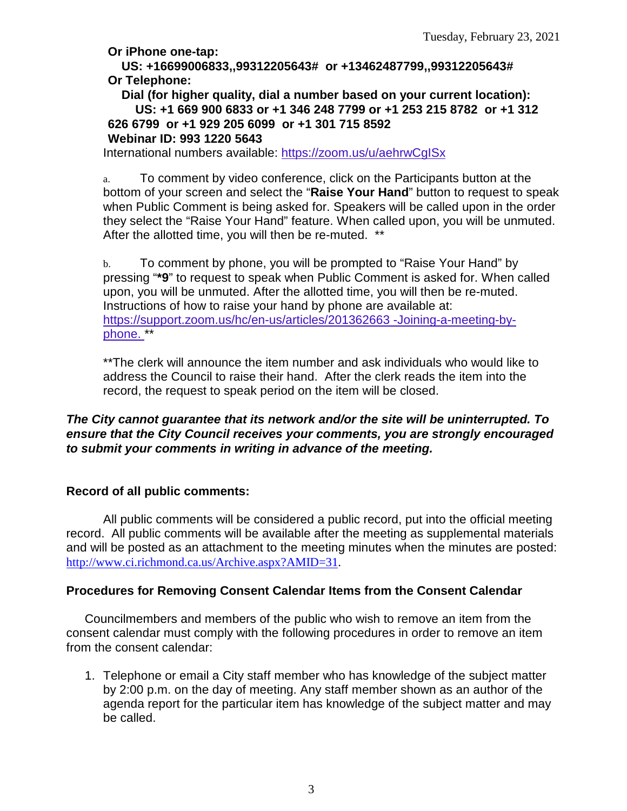**Or iPhone one-tap:**

**US: +16699006833,,99312205643# or +13462487799,,99312205643# Or Telephone:**

**Dial (for higher quality, dial a number based on your current location): US: +1 669 900 6833 or +1 346 248 7799 or +1 253 215 8782 or +1 312 626 6799 or +1 929 205 6099 or +1 301 715 8592 Webinar ID: 993 1220 5643**

International numbers available: <https://zoom.us/u/aehrwCgISx>

a. To comment by video conference, click on the Participants button at the bottom of your screen and select the "**Raise Your Hand**" button to request to speak when Public Comment is being asked for. Speakers will be called upon in the order they select the "Raise Your Hand" feature. When called upon, you will be unmuted. After the allotted time, you will then be re-muted. \*\*

b. To comment by phone, you will be prompted to "Raise Your Hand" by pressing "**\*9**" to request to speak when Public Comment is asked for. When called upon, you will be unmuted. After the allotted time, you will then be re-muted. Instructions of how to raise your hand by phone are available at: [https://support.zoom.us/hc/en-us/articles/201362663 -Joining-a-meeting-by](https://support.zoom.us/hc/en-us/articles/201362663)[phone.](https://support.zoom.us/hc/en-us/articles/201362663) \*\*

\*\*The clerk will announce the item number and ask individuals who would like to address the Council to raise their hand. After the clerk reads the item into the record, the request to speak period on the item will be closed.

#### *The City cannot guarantee that its network and/or the site will be uninterrupted. To ensure that the City Council receives your comments, you are strongly encouraged to submit your comments in writing in advance of the meeting.*

#### **Record of all public comments:**

All public comments will be considered a public record, put into the official meeting record. All public comments will be available after the meeting as supplemental materials and will be posted as an attachment to the meeting minutes when the minutes are posted: [http://www.ci.richmond.ca.us/Archive.aspx?AMID=31.](http://www.ci.richmond.ca.us/Archive.aspx?AMID=31)

# **Procedures for Removing Consent Calendar Items from the Consent Calendar**

Councilmembers and members of the public who wish to remove an item from the consent calendar must comply with the following procedures in order to remove an item from the consent calendar:

1. Telephone or email a City staff member who has knowledge of the subject matter by 2:00 p.m. on the day of meeting. Any staff member shown as an author of the agenda report for the particular item has knowledge of the subject matter and may be called.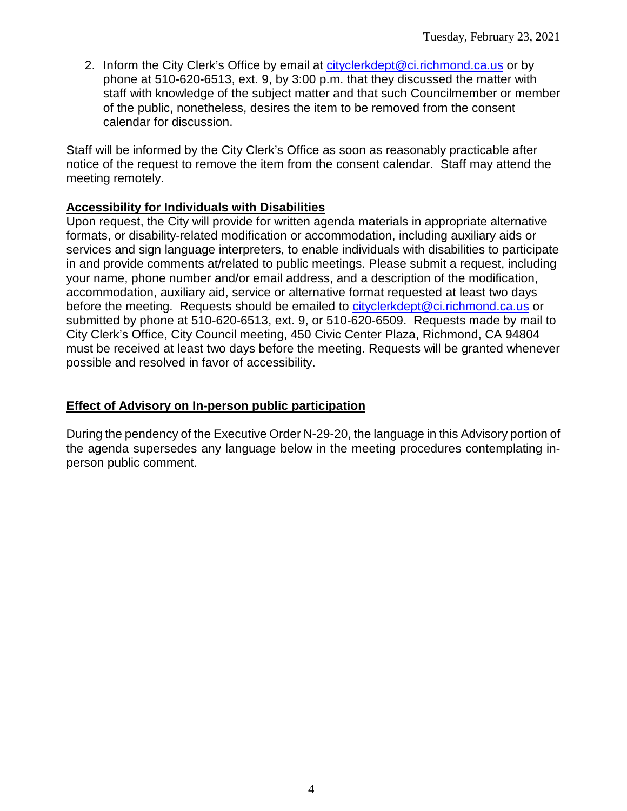2. Inform the City Clerk's Office by email at [cityclerkdept@ci.richmond.ca.us](mailto:cityclerkdept@ci.richmond.ca.us) or by phone at 510-620-6513, ext. 9, by 3:00 p.m. that they discussed the matter with staff with knowledge of the subject matter and that such Councilmember or member of the public, nonetheless, desires the item to be removed from the consent calendar for discussion.

Staff will be informed by the City Clerk's Office as soon as reasonably practicable after notice of the request to remove the item from the consent calendar. Staff may attend the meeting remotely.

### **Accessibility for Individuals with Disabilities**

Upon request, the City will provide for written agenda materials in appropriate alternative formats, or disability-related modification or accommodation, including auxiliary aids or services and sign language interpreters, to enable individuals with disabilities to participate in and provide comments at/related to public meetings. Please submit a request, including your name, phone number and/or email address, and a description of the modification, accommodation, auxiliary aid, service or alternative format requested at least two days before the meeting. Requests should be emailed to [cityclerkdept@ci.richmond.ca.us](mailto:cityclerkdept@ci.richmond.ca.us) or submitted by phone at 510-620-6513, ext. 9, or 510-620-6509. Requests made by mail to City Clerk's Office, City Council meeting, 450 Civic Center Plaza, Richmond, CA 94804 must be received at least two days before the meeting. Requests will be granted whenever possible and resolved in favor of accessibility.

#### **Effect of Advisory on In-person public participation**

During the pendency of the Executive Order N-29-20, the language in this Advisory portion of the agenda supersedes any language below in the meeting procedures contemplating inperson public comment.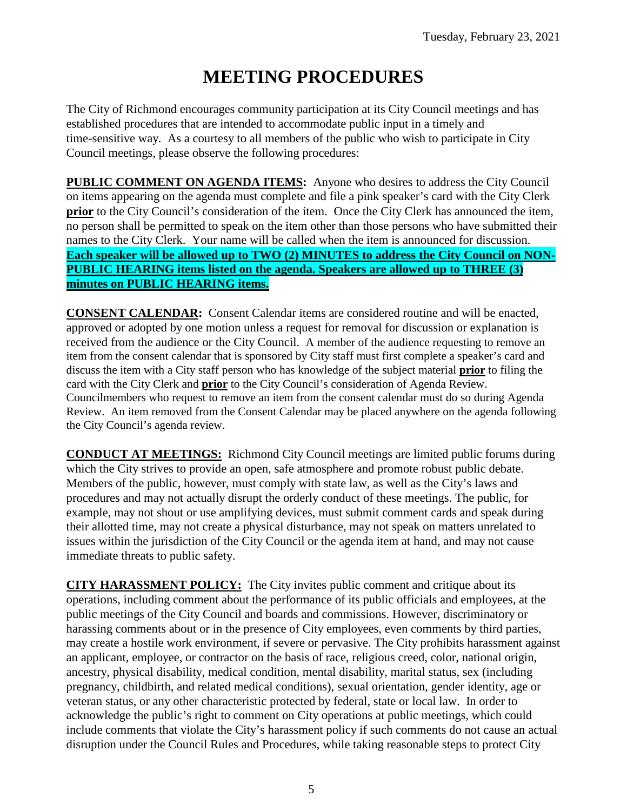# **MEETING PROCEDURES**

The City of Richmond encourages community participation at its City Council meetings and has established procedures that are intended to accommodate public input in a timely and time-sensitive way. As a courtesy to all members of the public who wish to participate in City Council meetings, please observe the following procedures:

**PUBLIC COMMENT ON AGENDA ITEMS:** Anyone who desires to address the City Council on items appearing on the agenda must complete and file a pink speaker's card with the City Clerk **prior** to the City Council's consideration of the item. Once the City Clerk has announced the item, no person shall be permitted to speak on the item other than those persons who have submitted their names to the City Clerk. Your name will be called when the item is announced for discussion. **Each speaker will be allowed up to TWO (2) MINUTES to address the City Council on NON-PUBLIC HEARING items listed on the agenda. Speakers are allowed up to THREE (3) minutes on PUBLIC HEARING items.**

**CONSENT CALENDAR:** Consent Calendar items are considered routine and will be enacted, approved or adopted by one motion unless a request for removal for discussion or explanation is received from the audience or the City Council. A member of the audience requesting to remove an item from the consent calendar that is sponsored by City staff must first complete a speaker's card and discuss the item with a City staff person who has knowledge of the subject material **prior** to filing the card with the City Clerk and **prior** to the City Council's consideration of Agenda Review. Councilmembers who request to remove an item from the consent calendar must do so during Agenda Review. An item removed from the Consent Calendar may be placed anywhere on the agenda following the City Council's agenda review.

**CONDUCT AT MEETINGS:** Richmond City Council meetings are limited public forums during which the City strives to provide an open, safe atmosphere and promote robust public debate. Members of the public, however, must comply with state law, as well as the City's laws and procedures and may not actually disrupt the orderly conduct of these meetings. The public, for example, may not shout or use amplifying devices, must submit comment cards and speak during their allotted time, may not create a physical disturbance, may not speak on matters unrelated to issues within the jurisdiction of the City Council or the agenda item at hand, and may not cause immediate threats to public safety.

**CITY HARASSMENT POLICY:** The City invites public comment and critique about its operations, including comment about the performance of its public officials and employees, at the public meetings of the City Council and boards and commissions. However, discriminatory or harassing comments about or in the presence of City employees, even comments by third parties, may create a hostile work environment, if severe or pervasive. The City prohibits harassment against an applicant, employee, or contractor on the basis of race, religious creed, color, national origin, ancestry, physical disability, medical condition, mental disability, marital status, sex (including pregnancy, childbirth, and related medical conditions), sexual orientation, gender identity, age or veteran status, or any other characteristic protected by federal, state or local law. In order to acknowledge the public's right to comment on City operations at public meetings, which could include comments that violate the City's harassment policy if such comments do not cause an actual disruption under the Council Rules and Procedures, while taking reasonable steps to protect City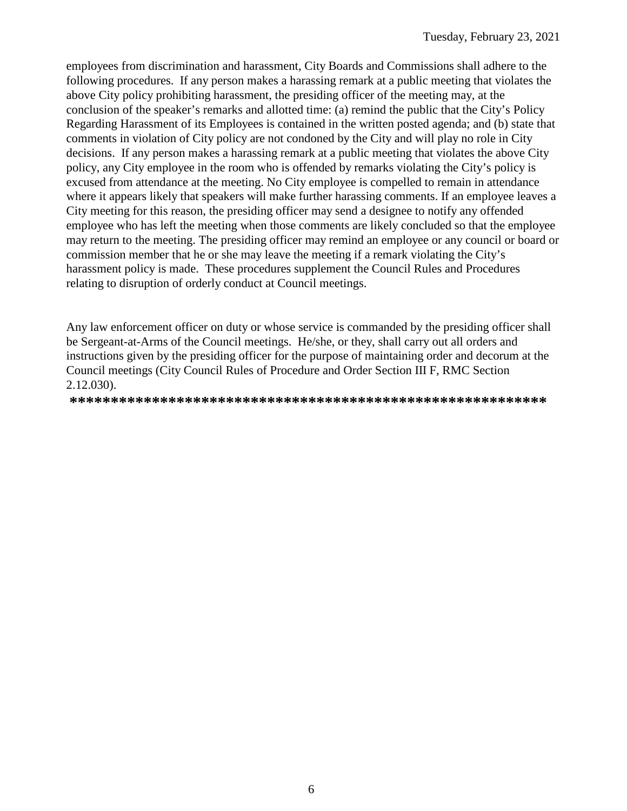employees from discrimination and harassment, City Boards and Commissions shall adhere to the following procedures. If any person makes a harassing remark at a public meeting that violates the above City policy prohibiting harassment, the presiding officer of the meeting may, at the conclusion of the speaker's remarks and allotted time: (a) remind the public that the City's Policy Regarding Harassment of its Employees is contained in the written posted agenda; and (b) state that comments in violation of City policy are not condoned by the City and will play no role in City decisions. If any person makes a harassing remark at a public meeting that violates the above City policy, any City employee in the room who is offended by remarks violating the City's policy is excused from attendance at the meeting. No City employee is compelled to remain in attendance where it appears likely that speakers will make further harassing comments. If an employee leaves a City meeting for this reason, the presiding officer may send a designee to notify any offended employee who has left the meeting when those comments are likely concluded so that the employee may return to the meeting. The presiding officer may remind an employee or any council or board or commission member that he or she may leave the meeting if a remark violating the City's harassment policy is made. These procedures supplement the Council Rules and Procedures relating to disruption of orderly conduct at Council meetings.

Any law enforcement officer on duty or whose service is commanded by the presiding officer shall be Sergeant-at-Arms of the Council meetings. He/she, or they, shall carry out all orders and instructions given by the presiding officer for the purpose of maintaining order and decorum at the Council meetings (City Council Rules of Procedure and Order Section III F, RMC Section 2.12.030).

**\*\*\*\*\*\*\*\*\*\*\*\*\*\*\*\*\*\*\*\*\*\*\*\*\*\*\*\*\*\*\*\*\*\*\*\*\*\*\*\*\*\*\*\*\*\*\*\*\*\*\*\*\*\*\*\*\*\***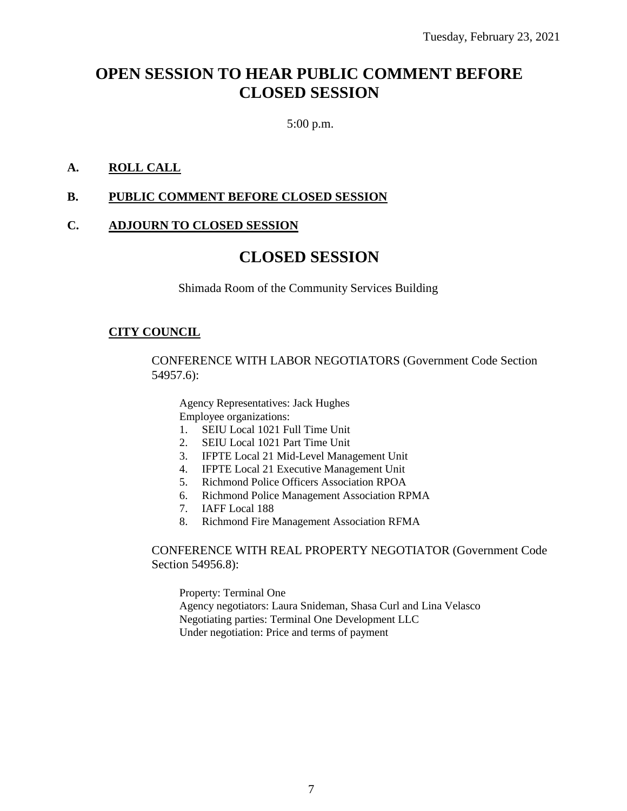# **OPEN SESSION TO HEAR PUBLIC COMMENT BEFORE CLOSED SESSION**

5:00 p.m.

### **A. ROLL CALL**

#### **B. PUBLIC COMMENT BEFORE CLOSED SESSION**

#### **C. ADJOURN TO CLOSED SESSION**

# **CLOSED SESSION**

Shimada Room of the Community Services Building

#### **CITY COUNCIL**

CONFERENCE WITH LABOR NEGOTIATORS (Government Code Section 54957.6):

Agency Representatives: Jack Hughes Employee organizations:

- 1. SEIU Local 1021 Full Time Unit
- 2. SEIU Local 1021 Part Time Unit
- 3. IFPTE Local 21 Mid-Level Management Unit
- 4. IFPTE Local 21 Executive Management Unit
- 5. Richmond Police Officers Association RPOA
- 6. Richmond Police Management Association RPMA
- 7. IAFF Local 188
- 8. Richmond Fire Management Association RFMA

#### CONFERENCE WITH REAL PROPERTY NEGOTIATOR (Government Code Section 54956.8):

Property: Terminal One Agency negotiators: Laura Snideman, Shasa Curl and Lina Velasco Negotiating parties: Terminal One Development LLC Under negotiation: Price and terms of payment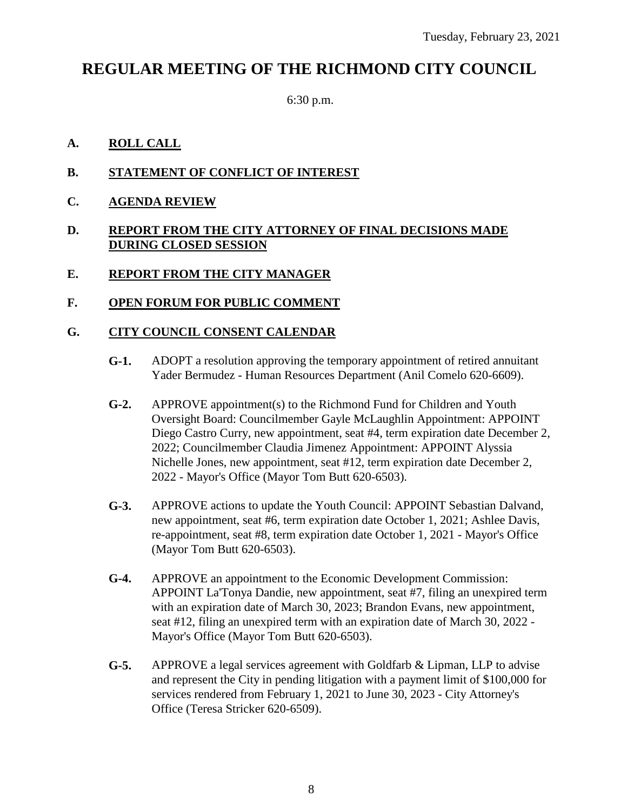# **REGULAR MEETING OF THE RICHMOND CITY COUNCIL**

6:30 p.m.

### **A. ROLL CALL**

- **B. STATEMENT OF CONFLICT OF INTEREST**
- **C. AGENDA REVIEW**

#### **D. REPORT FROM THE CITY ATTORNEY OF FINAL DECISIONS MADE DURING CLOSED SESSION**

**E. REPORT FROM THE CITY MANAGER**

#### **F. OPEN FORUM FOR PUBLIC COMMENT**

#### **G. CITY COUNCIL CONSENT CALENDAR**

- **G-1.** ADOPT a resolution approving the temporary appointment of retired annuitant Yader Bermudez - Human Resources Department (Anil Comelo 620-6609).
- **G-2.** APPROVE appointment(s) to the Richmond Fund for Children and Youth Oversight Board: Councilmember Gayle McLaughlin Appointment: APPOINT Diego Castro Curry, new appointment, seat #4, term expiration date December 2, 2022; Councilmember Claudia Jimenez Appointment: APPOINT Alyssia Nichelle Jones, new appointment, seat #12, term expiration date December 2, 2022 - Mayor's Office (Mayor Tom Butt 620-6503).
- **G-3.** APPROVE actions to update the Youth Council: APPOINT Sebastian Dalvand, new appointment, seat #6, term expiration date October 1, 2021; Ashlee Davis, re-appointment, seat #8, term expiration date October 1, 2021 - Mayor's Office (Mayor Tom Butt 620-6503).
- **G-4.** APPROVE an appointment to the Economic Development Commission: APPOINT La'Tonya Dandie, new appointment, seat #7, filing an unexpired term with an expiration date of March 30, 2023; Brandon Evans, new appointment, seat #12, filing an unexpired term with an expiration date of March 30, 2022 - Mayor's Office (Mayor Tom Butt 620-6503).
- **G-5.** APPROVE a legal services agreement with Goldfarb & Lipman, LLP to advise and represent the City in pending litigation with a payment limit of \$100,000 for services rendered from February 1, 2021 to June 30, 2023 - City Attorney's Office (Teresa Stricker 620-6509).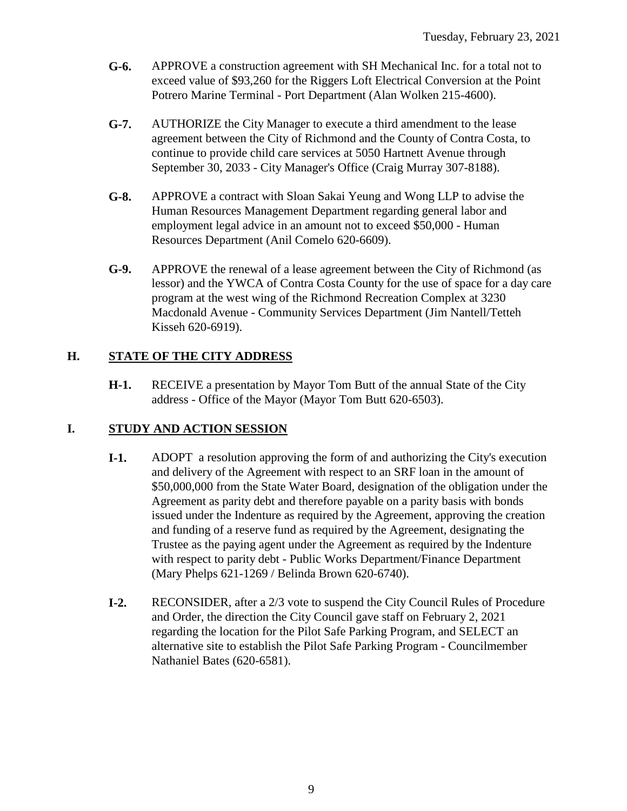- **G-6.** APPROVE a construction agreement with SH Mechanical Inc. for a total not to exceed value of \$93,260 for the Riggers Loft Electrical Conversion at the Point Potrero Marine Terminal - Port Department (Alan Wolken 215-4600).
- **G-7.** AUTHORIZE the City Manager to execute a third amendment to the lease agreement between the City of Richmond and the County of Contra Costa, to continue to provide child care services at 5050 Hartnett Avenue through September 30, 2033 - City Manager's Office (Craig Murray 307-8188).
- **G-8.** APPROVE a contract with Sloan Sakai Yeung and Wong LLP to advise the Human Resources Management Department regarding general labor and employment legal advice in an amount not to exceed \$50,000 - Human Resources Department (Anil Comelo 620-6609).
- **G-9.** APPROVE the renewal of a lease agreement between the City of Richmond (as lessor) and the YWCA of Contra Costa County for the use of space for a day care program at the west wing of the Richmond Recreation Complex at 3230 Macdonald Avenue - Community Services Department (Jim Nantell/Tetteh Kisseh 620-6919).

# **H. STATE OF THE CITY ADDRESS**

**H-1.** RECEIVE a presentation by Mayor Tom Butt of the annual State of the City address - Office of the Mayor (Mayor Tom Butt 620-6503).

# **I. STUDY AND ACTION SESSION**

- **I-1.** ADOPT a resolution approving the form of and authorizing the City's execution and delivery of the Agreement with respect to an SRF loan in the amount of \$50,000,000 from the State Water Board, designation of the obligation under the Agreement as parity debt and therefore payable on a parity basis with bonds issued under the Indenture as required by the Agreement, approving the creation and funding of a reserve fund as required by the Agreement, designating the Trustee as the paying agent under the Agreement as required by the Indenture with respect to parity debt - Public Works Department/Finance Department (Mary Phelps 621-1269 / Belinda Brown 620-6740).
- **I-2.** RECONSIDER, after a 2/3 vote to suspend the City Council Rules of Procedure and Order, the direction the City Council gave staff on February 2, 2021 regarding the location for the Pilot Safe Parking Program, and SELECT an alternative site to establish the Pilot Safe Parking Program - Councilmember Nathaniel Bates (620-6581).